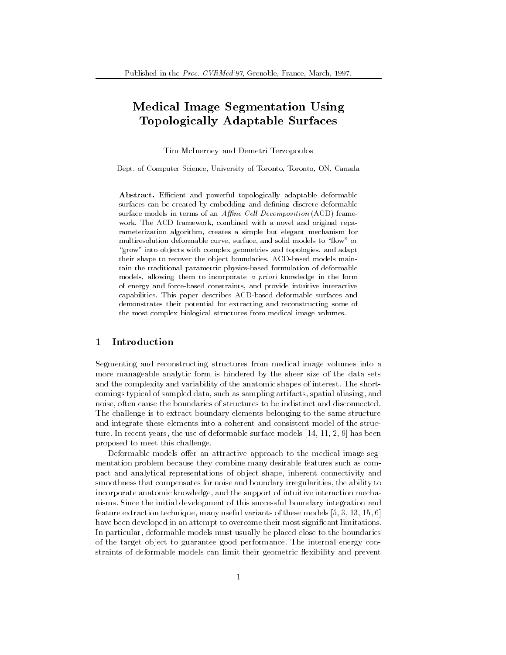# Medical Image Segmentation Using Topologically Adaptable Surfaces

Tim McInerney and Demetri Terzopoulos

Dept. of Computer Science, University of Toronto, Toronto, ON, Canada

Abstract. Efficient and powerful topologically adaptable deformable surfaces can be created by embedding and defining discrete deformable surface models in terms of an Affine Cell Decomposition  $(ACD)$  framework. The ACD framework, combined with a novel and original reparameterization algorithm, creates a simple but elegant mechanism for multiresolution deformable curve, surface, and solid models to "flow" or "grow" into objects with complex geometries and topologies, and adapt their shape to recover the object boundaries. ACD-based models maintain the traditional parametric physics-based formulation of deformable models, allowing them to incorporate a priori knowledge in the form of energy and force-based constraints, and provide intuitive interactive capabilities. This paper describes ACD-based deformable surfaces and demonstrates their potential for extracting and reconstructing some of the most complex biological structures from medical image volumes.

### 1 Introduction

Segmenting and reconstructing structures from medical image volumes into a more manageable analytic form is hindered by the sheer size of the data sets and the complexity and variability of the anatomic shapes of interest. The shortcomings typical of sampled data, such as sampling artifacts, spatial aliasing, and noise, often cause the boundaries of structures to be indistinct and disconnected. The challenge is to extract boundary elements belonging to the same structure and integrate these elements into a coherent and consistent model of the structure. In recent years, the use of deformable surface models [14, 11, 2, 9] has been proposed to meet this challenge.

Deformable models offer an attractive approach to the medical image segmentation problem because they combine many desirable features such as compact and analytical representations of object shape, inherent connectivity and smoothness that compensates for noise and boundary irregularities, the ability to incorporate anatomic knowledge, and the support of intuitive interaction mechanisms. Since the initial development of this successful boundary integration and feature extraction technique, many useful variants of these models [5, 3, 13, 15, 6] have been developed in an attempt to overcome their most significant limitations. In particular, deformable models must usually be placed close to the boundaries of the target object to guarantee good performance. The internal energy constraints of deformable models can limit their geometric flexibility and prevent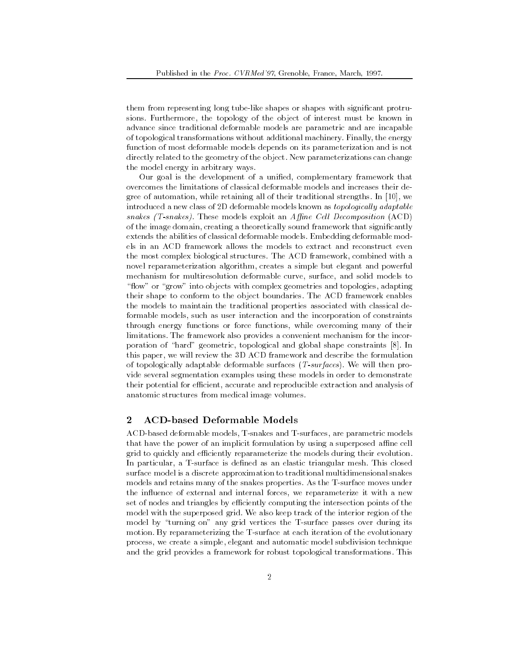them from representing long tube-like shapes or shapes with significant protrusions. Furthermore, the topology of the object of interest must be known in advance since traditional deformable models are parametric and are incapable of topological transformations without additional machinery. Finally, the energy function of most deformable models depends on its parameterization and is not directly related to the geometry of the object. New parameterizations can change the model energy in arbitrary ways.

Our goal is the development of a unied, complementary framework that overcomes the limitations of classical deformable models and increases their degree of automation, while retaining all of their traditional strengths. In [10], we introduced a new class of 2D deformable models known as *topologically adaptable* snakes (T-snakes). These models exploit an Affine Cell Decomposition  $(ACD)$ of the image domain, creating a theoretically sound framework that signicantly extends the abilities of classical deformable models. Embedding deformable models in an ACD framework allows the models to extract and reconstruct even the most complex biological structures. The ACD framework, combined with a novel reparameterization algorithm, creates a simple but elegant and powerful mechanism for multiresolution deformable curve, surface, and solid models to "flow" or "grow" into objects with complex geometries and topologies, adapting their shape to conform to the object boundaries. The ACD framework enables the models to maintain the traditional properties associated with classical deformable models, such as user interaction and the incorporation of constraints through energy functions or force functions, while overcoming many of their limitations. The framework also provides a convenient mechanism for the incorporation of "hard" geometric, topological and global shape constraints [8]. In this paper, we will review the 3D ACD framework and describe the formulation of topologically adaptable deformable surfaces  $(T\text{-}surfaces)$ . We will then provide several segmentation examples using these models in order to demonstrate their potential for efficient, accurate and reproducible extraction and analysis of anatomic structures from medical image volumes.

#### $\overline{2}$ 2 ACD-based Deformable Models

ACD-based deformable models, T-snakes and T-surfaces, are parametric models that have the power of an implicit formulation by using a superposed affine cell grid to quickly and efficiently reparameterize the models during their evolution. In particular, a T-surface is defined as an elastic triangular mesh. This closed surface model is a discrete approximation to traditional multidimensional snakes models and retains many of the snakes properties. As the T-surface moves under the influence of external and internal forces, we reparameterize it with a new set of nodes and triangles by efficiently computing the intersection points of the model with the superposed grid. We also keep track of the interior region of the model by "turning on" any grid vertices the T-surface passes over during its motion. By reparameterizing the T-surface at each iteration of the evolutionary process, we create a simple, elegant and automatic model subdivision technique and the grid provides a framework for robust topological transformations. This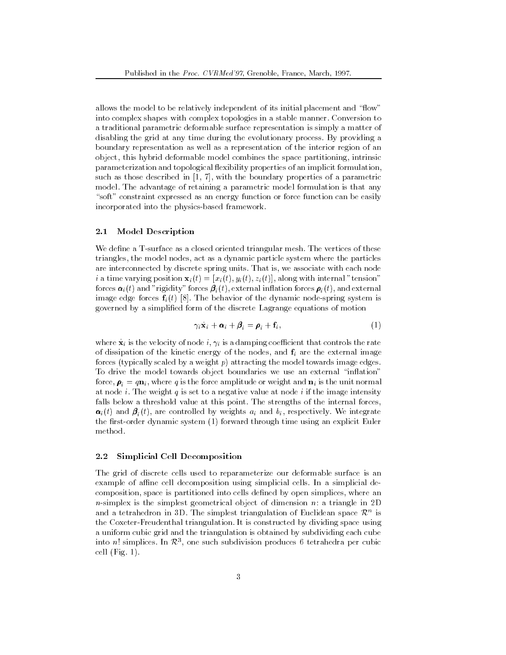allows the model to be relatively independent of its initial placement and "flow" into complex shapes with complex topologies in a stable manner. Conversion to a traditional parametric deformable surface representation is simply a matter of disabling the grid at any time during the evolutionary process. By providing a boundary representation as well as a representation of the interior region of an object, this hybrid deformable model combines the space partitioning, intrinsic parameterization and topological flexibility properties of an implicit formulation. such as those described in [1, 7], with the boundary properties of a parametric model. The advantage of retaining a parametric model formulation is that any "soft" constraint expressed as an energy function or force function can be easily incorporated into the physics-based framework.

## 2.1 Model Description

We define a T-surface as a closed oriented triangular mesh. The vertices of these triangles, the model nodes, act as a dynamic particle system where the particles are interconnected by discrete spring units. That is, we associate with each node i a time varying position  $\mathbf{x}_i(t)=[x_i(t), y_i(t), z_i(t)]$ , along with internal "tension" forces  $\bm{\alpha}_i(t)$  and "rigidity" forces  $\bm{\beta}_i(t)$ , external inflation forces  $\bm{\rho}_i(t)$ , and external image edge forces  $f_i(t)$  [8]. The behavior of the dynamic node-spring system is governed by a simplied form of the discrete Lagrange equations of motion

$$
\gamma_i \mathbf{x}_i + \boldsymbol{\alpha}_i + \boldsymbol{\beta}_i = \boldsymbol{\rho}_i + \mathbf{f}_i, \tag{1}
$$

where  $\alpha$  is the velocity of node i,  $\mu$  is a damping coefficient that controls the rate  $\alpha$ of dissipation of the kinetic energy of the nodes, and  $f_i$  are the external image forces (typically scaled by a weight  $p$ ) attracting the model towards image edges. To drive the model towards object boundaries we use an external "inflation" force,  $\rho_i = qn_i$ , where q is the force amplitude or weight and  $n_i$  is the unit normal at node *i*. The weight  $q$  is set to a negative value at node *i* if the image intensity falls below a threshold value at this point. The strengths of the internal forces,  $\mathcal{L}_{\mathcal{E}}$  and if  $i$  (ii), are controlled by weights ai and bi, respectively. We integrate the first-order dynamic system (1) forward through time using an explicit Euler method.

#### 2.2 Simplicial Cell Decomposition

The grid of discrete cells used to reparameterize our deformable surface is an example of affine cell decomposition using simplicial cells. In a simplicial decomposition, space is partitioned into cells defined by open simplices, where an n-simplex is the simplest geometrical object of dimension  $n:$  a triangle in 2D and a tetrahedron in 3D. The simplest triangulation of Euclidean space  $\mathcal{K}^+$  is the Coxeter-Freudenthal triangulation. It is constructed by dividing space using a uniform cubic grid and the triangulation is obtained by subdividing each cube into  $n$ ! simplices. In  $\mathcal{K}^+$ , one such subdivision produces  $0$  tetrahedra per cubic cell  $(Fig. 1)$ .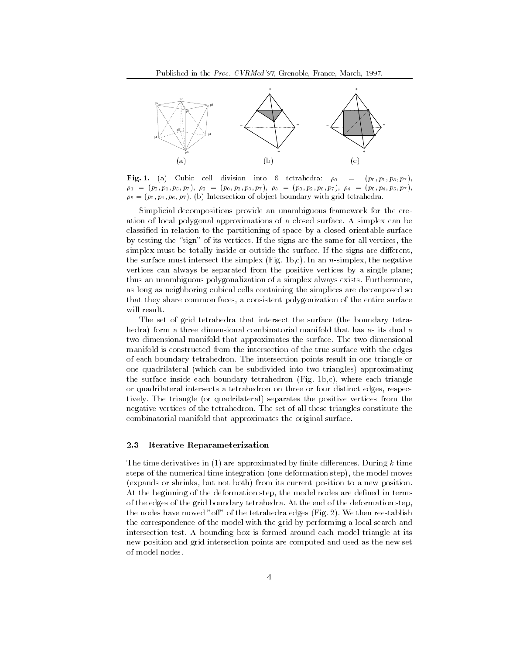

Fig. 1. (a) Cubic cell division into 6 tetrahedra:  $\rho_0 = (p_0, p_1, p_3, p_7),$  $\rho_1 = (p_0, p_1, p_5, p_7), \ \rho_2 = (p_0, p_2, p_3, p_7), \ \rho_3 = (p_0, p_2, p_6, p_7), \ \rho_4 = (p_0, p_4, p_5, p_7),$  $\rho_5 = (p_0, p_4, p_6, p_7)$ . (b) Intersection of object boundary with grid tetrahedra.

Simplicial decompositions provide an unambiguous framework for the creation of local polygonal approximations of a closed surface. A simplex can be classied in relation to the partitioning of space by a closed orientable surface by testing the "sign" of its vertices. If the signs are the same for all vertices, the simplex must be totally inside or outside the surface. If the signs are different, the surface must intersect the simplex  $(Fig. 1b,c)$ . In an *n*-simplex, the negative vertices can always be separated from the positive vertices by a single plane; thus an unambiguous polygonalization of a simplex always exists. Furthermore, as long as neighboring cubical cells containing the simplices are decomposed so that they share common faces, a consistent polygonization of the entire surface will result.

The set of grid tetrahedra that intersect the surface (the boundary tetrahedra) form a three dimensional combinatorial manifold that has as its dual a two dimensional manifold that approximates the surface. The two dimensional manifold is constructed from the intersection of the true surface with the edges of each boundary tetrahedron. The intersection points result in one triangle or one quadrilateral (which can be subdivided into two triangles) approximating the surface inside each boundary tetrahedron (Fig. 1b,c), where each triangle or quadrilateral intersects a tetrahedron on three or four distinct edges, respectively. The triangle (or quadrilateral) separates the positive vertices from the negative vertices of the tetrahedron. The set of all these triangles constitute the combinatorial manifold that approximates the original surface.

#### 2.3 Iterative Reparameterization

The time derivatives in  $(1)$  are approximated by finite differences. During k time steps of the numerical time integration (one deformation step), the model moves (expands or shrinks, but not both) from its current position to a new position. At the beginning of the deformation step, the model nodes are defined in terms of the edges of the grid boundary tetrahedra. At the end of the deformation step, the nodes have moved "off" of the tetrahedra edges (Fig. 2). We then reestablish the correspondence of the model with the grid by performing a local search and intersection test. A bounding box is formed around each model triangle at its new position and grid intersection points are computed and used as the new set of model nodes.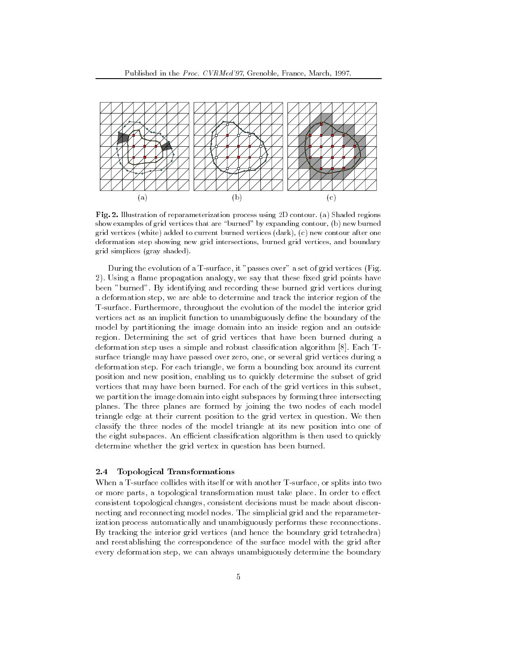

Fig. 2. Illustration of reparameterization process using 2D contour. (a) Shaded regions show examples of grid vertices that are "burned" by expanding contour, (b) new burned grid vertices (white) added to current burned vertices (dark), (c) new contour after one deformation step showing new grid intersections, burned grid vertices, and boundary grid simplices (gray shaded).

During the evolution of a T-surface, it "passes over" a set of grid vertices (Fig. 2). Using a flame propagation analogy, we say that these fixed grid points have been "burned". By identifying and recording these burned grid vertices during a deformation step, we are able to determine and track the interior region of the T-surface. Furthermore, throughout the evolution of the model the interior grid vertices act as an implicit function to unambiguously define the boundary of the model by partitioning the image domain into an inside region and an outside region. Determining the set of grid vertices that have been burned during a deformation step uses a simple and robust classication algorithm [8]. Each Tsurface triangle may have passed over zero, one, or several grid vertices during a deformation step. For each triangle, we form a bounding box around its current position and new position, enabling us to quickly determine the subset of grid vertices that may have been burned. For each of the grid vertices in this subset, we partition the image domain into eight subspaces by forming three intersecting planes. The three planes are formed by joining the two nodes of each model triangle edge at their current position to the grid vertex in question. We then classify the three nodes of the model triangle at its new position into one of the eight subspaces. An efficient classification algorithm is then used to quickly determine whether the grid vertex in question has been burned.

### 2.4 Topological Transformations

When a T-surface collides with itself or with another T-surface, or splits into two or more parts, a topological transformation must take place. In order to effect consistent topological changes, consistent decisions must be made about disconnecting and reconnecting model nodes. The simplicial grid and the reparameterization process automatically and unambiguously performs these reconnections. By tracking the interior grid vertices (and hence the boundary grid tetrahedra) and reestablishing the correspondence of the surface model with the grid after every deformation step, we can always unambiguously determine the boundary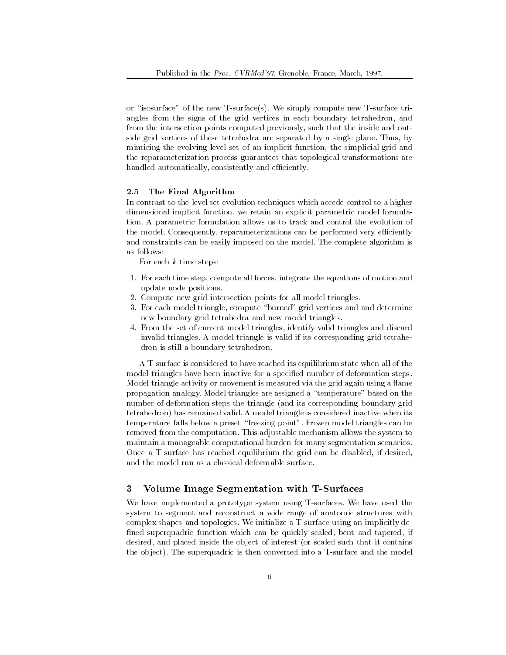or "isosurface" of the new T-surface(s). We simply compute new T-surface triangles from the signs of the grid vertices in each boundary tetrahedron, and from the intersection points computed previously, such that the inside and outside grid vertices of these tetrahedra are separated by a single plane. Thus, by mimicing the evolving level set of an implicit function, the simplicial grid and the reparameterization process guarantees that topological transformations are handled automatically, consistently and efficiently.

#### 2.5 The Final Algorithm

In contrast to the level set evolution techniques which accede control to a higher dimensional implicit function, we retain an explicit parametric model formulation. A parametric formulation allows us to track and control the evolution of the model. Consequently, reparameterizations can be performed very efficiently and constraints can be easily imposed on the model. The complete algorithm is as follows:

For each  $k$  time steps:

- 1. For each time step, compute all forces, integrate the equations of motion and update node positions.
- 2. Compute new grid intersection points for all model triangles.
- 3. For each model triangle, compute \burned" grid vertices and and determine new boundary grid tetrahedra and new model triangles.
- 4. From the set of current model triangles, identify valid triangles and discard invalid triangles. A model triangle is valid if its corresponding grid tetrahedron is still a boundary tetrahedron.

A T-surface is considered to have reached its equilibrium state when all of the model triangles have been inactive for a specied number of deformation steps. Model triangle activity or movement is measured via the grid again using a flame propagation analogy. Model triangles are assigned a \temperature" based on the number of deformation steps the triangle (and its corresponding boundary grid tetrahedron) has remained valid. A model triangle is considered inactive when its temperature falls below a preset "freezing point". Frozen model triangles can be removed from the computation. This adjustable mechanism allows the system to maintain a manageable computational burden for many segmentation scenarios. Once a T-surface has reached equilibrium the grid can be disabled, if desired, and the model run as a classical deformable surface.

# 3 Volume Image Segmentation with T-Surfaces

We have implemented a prototype system using T-surfaces. We have used the system to segment and reconstruct a wide range of anatomic structures with complex shapes and topologies. We initialize a T-surface using an implicitly de fined superquadric function which can be quickly scaled, bent and tapered, if desired, and placed inside the object of interest (or scaled such that it contains the object). The superquadric is then converted into a T-surface and the model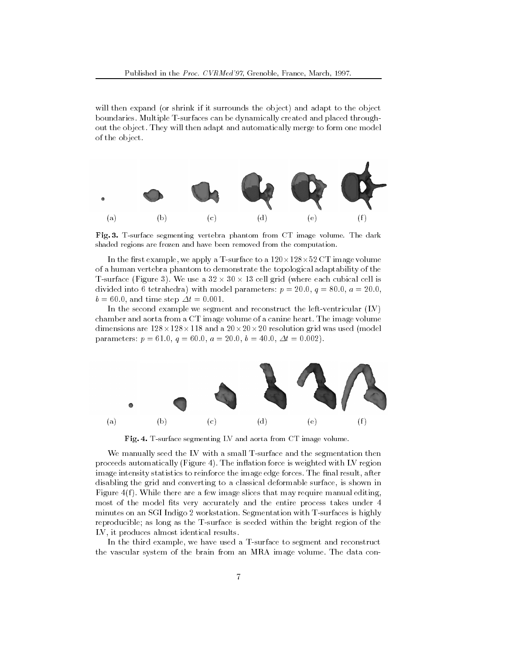will then expand (or shrink if it surrounds the object) and adapt to the object boundaries. Multiple T-surfaces can be dynamically created and placed throughout the object. They will then adapt and automatically merge to form one model of the object.



Fig. 3. T-surface segmenting vertebra phantom from CT image volume. The dark shaded regions are frozen and have been removed from the computation.

In the rst example, we apply a T-surface to a 120-128-52 CT image volume of a human vertebra phantom to demonstrate the topological adaptability of the T-surface (Tigure 3). We use a 32 - 130 - 132 - 133 - 133 - 133 - 133 - 133 - 133 - 133 - 133 - 133 - 133 - 13 divided into 6 tetrahedra) with model parameters:  $p = 20.0$ ,  $q = 80.0$ ,  $a = 20.0$ ,  $b = 60.0$ , and time step  $\Delta t = 0.001$ .

In the second example we segment and reconstruct the left-ventricular (LV) chamber and aorta from a CT image volume of a canine heart. The image volume dimensions are 128-128-118 and a 20-20-20 resolution grid was used (model parameters:  $p = 61.0$ ,  $q = 60.0$ ,  $a = 20.0$ ,  $b = 40.0$ ,  $\Delta t = 0.002$ .



Fig. 4. T-surface segmenting LV and aorta from CT image volume.

We manually seed the LV with a small T-surface and the segmentation then proceeds automatically (Figure 4). The in
ation force is weighted with LV region image intensity statistics to reinforce the image edge forces. The final result, after disabling the grid and converting to a classical deformable surface, is shown in Figure  $4(f)$ . While there are a few image slices that may require manual editing, most of the model fits very accurately and the entire process takes under 4 minutes on an SGI Indigo 2 workstation. Segmentation with T-surfaces is highly reproducible; as long as the T-surface is seeded within the bright region of the LV, it produces almost identical results.

In the third example, we have used a T-surface to segment and reconstruct the vascular system of the brain from an MRA image volume. The data con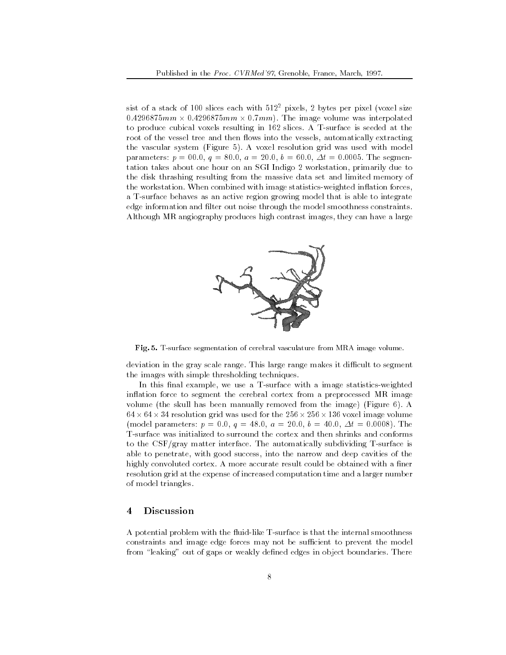sist of a stack of 100 slices each with  $512^2$  pixels, 2 bytes per pixel (voxel size 0:4296875mm - 0:4296875mm - 0:7mm). The image volume was interpolated to produce cubical voxels resulting in 162 slices. A T-surface is seeded at the root of the vessel tree and then flows into the vessels, automatically extracting the vascular system (Figure 5). A voxel resolution grid was used with model parameters:  $p = 00.0, q = 80.0, a = 20.0, b = 60.0, \Delta t = 0.0005$ . The segmentation takes about one hour on an SGI Indigo 2 workstation, primarily due to the disk thrashing resulting from the massive data set and limited memory of the workstation. When combined with image statistics-weighted in
ation forces, a T-surface behaves as an active region growing model that is able to integrate edge information and filter out noise through the model smoothness constraints. Although MR angiography produces high contrast images, they can have a large



Fig. 5. T-surface segmentation of cerebral vasculature from MRA image volume.

deviation in the gray scale range. This large range makes it difficult to segment the images with simple thresholding techniques.

In this final example, we use a T-surface with a image statistics-weighted inflation force to segment the cerebral cortex from a preprocessed MR image volume (the skull has been manually removed from the image) (Figure 6). A 64 - 64 - 34 resolution grid was used for the 256 - 256 - 136 voxel image volume (model parameters:  $p = 0.0$ ,  $q = 48.0$ ,  $a = 20.0$ ,  $b = 40.0$ ,  $\Delta t = 0.0008$ ). The T-surface was initialized to surround the cortex and then shrinks and conforms to the CSF/gray matter interface. The automatically subdividing T-surface is able to penetrate, with good success, into the narrow and deep cavities of the highly convoluted cortex. A more accurate result could be obtained with a finer resolution grid at the expense of increased computation time and a larger number of model triangles.

#### **Discussion**  $\overline{\mathbf{4}}$

A potential problem with the fluid-like T-surface is that the internal smoothness constraints and image edge forces may not be sufficient to prevent the model from "leaking" out of gaps or weakly defined edges in object boundaries. There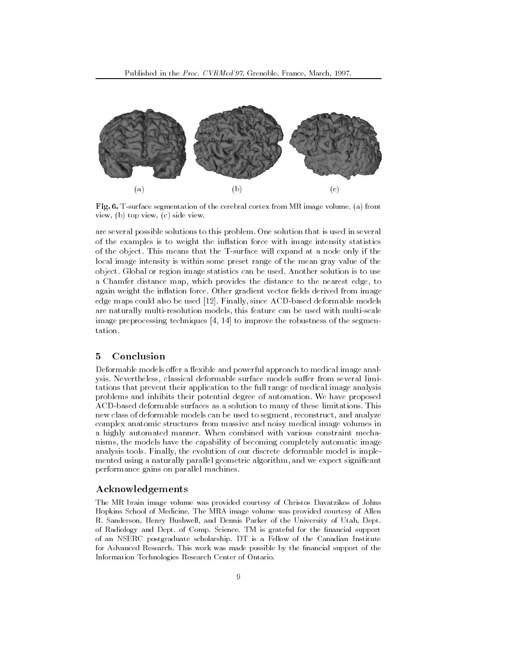

Fig. 6. T-surface segmentation of the cerebral cortex from MR image volume. (a) front view, (b) top view, (c) side view.

are several possible solutions to this problem. One solution that is used in several of the examples is to weight the inflation force with image intensity statistics of the object. This means that the T-surface will expand at a node only if the local image intensity is within some preset range of the mean gray value of the object. Global or region image statistics can be used. Another solution is to use a Chamfer distance map, which provides the distance to the nearest edge, to again weight the inflation force. Other gradient vector fields derived from image edge maps could also be used [12]. Finally, since ACD-based deformable models are naturally multi-resolution models, this feature can be used with multi-scale image preprocessing techniques [4, 14] to improve the robustness of the segmentation.

### 5

Deformable models offer a flexible and powerful approach to medical image analysis. Nevertheless, classical deformable surface models suffer from several limitations that prevent their application to the full range of medical image analysis problems and inhibits their potential degree of automation. We have proposed ACD-based deformable surfaces as a solution to many of these limitations. This new class of deformable models can be used to segment, reconstruct, and analyze complex anatomic structures from massive and noisy medical image volumes in a highly automated manner. When combined with various constraint mechanisms, the models have the capability of becoming completely automatic image analysis tools. Finally, the evolution of our discrete deformable model is imple mented using a naturally parallel geometric algorithm, and we expect signicant performance gains on parallel machines.

#### Acknowledgements

The MR brain image volume was provided courtesy of Christos Davatzikos of Johns Hopkins School of Medicine. The MRA image volume was provided courtesy of Allen R. Sanderson, Henry Bushwell, and Dennis Parker of the University of Utah, Dept. of Radiology and Dept. of Comp. Science. TM is grateful for the financial support of an NSERC postgraduate scholarship. DT is a Fellow of the Canadian Institute for Advanced Research. This work was made possible by the financial support of the Information Technologies Research Center of Ontario.